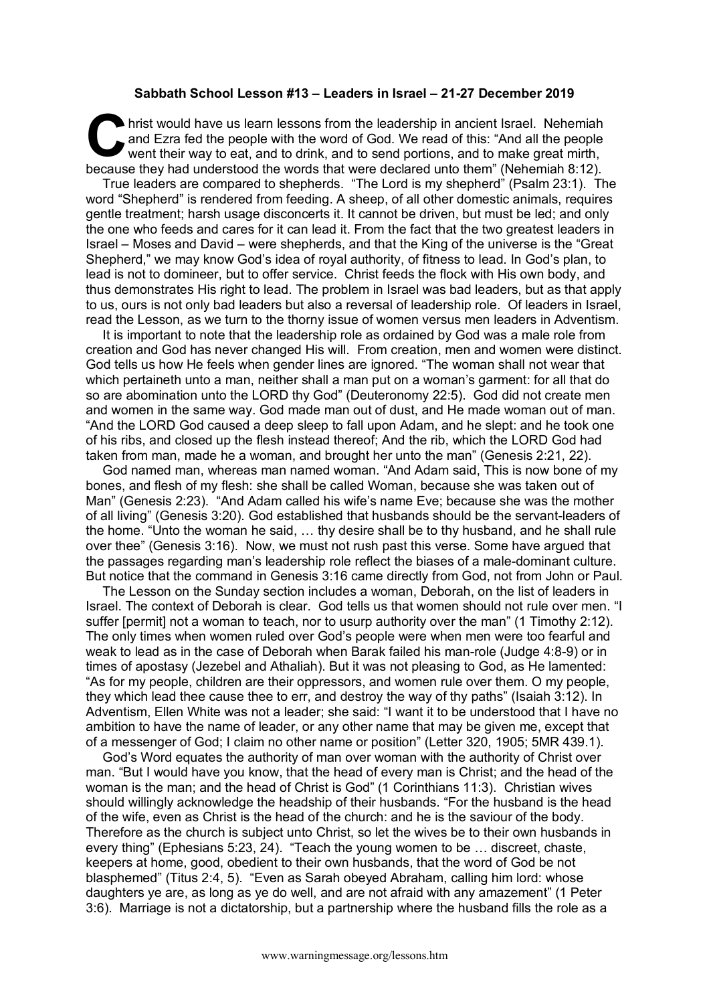## **Sabbath School Lesson #13 – Leaders in Israel – 21-27 December 2019**

hrist would have us learn lessons from the leadership in ancient Israel. Nehemiah and Ezra fed the people with the word of God. We read of this: "And all the people went their way to eat, and to drink, and to send portions, and to make great mirth, because they had understood the words that were declared unto them" (Nehemiah 8:12). C hris

True leaders are compared to shepherds. "The Lord is my shepherd" (Psalm 23:1). The word "Shepherd" is rendered from feeding. A sheep, of all other domestic animals, requires gentle treatment; harsh usage disconcerts it. It cannot be driven, but must be led; and only the one who feeds and cares for it can lead it. From the fact that the two greatest leaders in Israel – Moses and David – were shepherds, and that the King of the universe is the "Great Shepherd," we may know God's idea of royal authority, of fitness to lead. In God's plan, to lead is not to domineer, but to offer service. Christ feeds the flock with His own body, and thus demonstrates His right to lead. The problem in Israel was bad leaders, but as that apply to us, ours is not only bad leaders but also a reversal of leadership role. Of leaders in Israel, read the Lesson, as we turn to the thorny issue of women versus men leaders in Adventism.

It is important to note that the leadership role as ordained by God was a male role from creation and God has never changed His will. From creation, men and women were distinct. God tells us how He feels when gender lines are ignored. "The woman shall not wear that which pertaineth unto a man, neither shall a man put on a woman's garment: for all that do so are abomination unto the LORD thy God" (Deuteronomy 22:5). God did not create men and women in the same way. God made man out of dust, and He made woman out of man. "And the LORD God caused a deep sleep to fall upon Adam, and he slept: and he took one of his ribs, and closed up the flesh instead thereof; And the rib, which the LORD God had taken from man, made he a woman, and brought her unto the man" (Genesis 2:21, 22).

God named man, whereas man named woman. "And Adam said, This is now bone of my bones, and flesh of my flesh: she shall be called Woman, because she was taken out of Man" (Genesis 2:23). "And Adam called his wife's name Eve; because she was the mother of all living" (Genesis 3:20). God established that husbands should be the servant-leaders of the home. "Unto the woman he said, … thy desire shall be to thy husband, and he shall rule over thee" (Genesis 3:16). Now, we must not rush past this verse. Some have argued that the passages regarding man's leadership role reflect the biases of a male-dominant culture. But notice that the command in Genesis 3:16 came directly from God, not from John or Paul.

The Lesson on the Sunday section includes a woman, Deborah, on the list of leaders in Israel. The context of Deborah is clear. God tells us that women should not rule over men. "I suffer [permit] not a woman to teach, nor to usurp authority over the man" (1 Timothy 2:12). The only times when women ruled over God's people were when men were too fearful and weak to lead as in the case of Deborah when Barak failed his man-role (Judge 4:8-9) or in times of apostasy (Jezebel and Athaliah). But it was not pleasing to God, as He lamented: "As for my people, children are their oppressors, and women rule over them. O my people, they which lead thee cause thee to err, and destroy the way of thy paths" (Isaiah 3:12). In Adventism, Ellen White was not a leader; she said: "I want it to be understood that I have no ambition to have the name of leader, or any other name that may be given me, except that of a messenger of God; I claim no other name or position" (Letter 320, 1905; 5MR 439.1).

God's Word equates the authority of man over woman with the authority of Christ over man. "But I would have you know, that the head of every man is Christ; and the head of the woman is the man; and the head of Christ is God" (1 Corinthians 11:3). Christian wives should willingly acknowledge the headship of their husbands. "For the husband is the head of the wife, even as Christ is the head of the church: and he is the saviour of the body. Therefore as the church is subject unto Christ, so let the wives be to their own husbands in every thing" (Ephesians 5:23, 24). "Teach the young women to be … discreet, chaste, keepers at home, good, obedient to their own husbands, that the word of God be not blasphemed" (Titus 2:4, 5). "Even as Sarah obeyed Abraham, calling him lord: whose daughters ye are, as long as ye do well, and are not afraid with any amazement" (1 Peter 3:6). Marriage is not a dictatorship, but a partnership where the husband fills the role as a